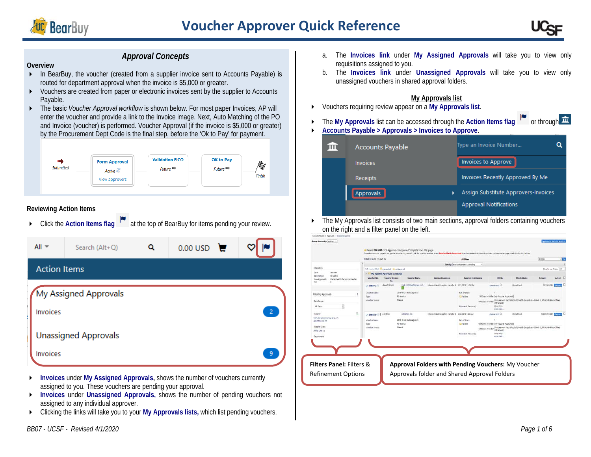



## *Approval Concepts*

#### **Overview**

- In BearBuy, the voucher (created from a supplier invoice sent to Accounts Payable) is routed for department approval when the invoice is \$5,000 or greater.
- Vouchers are created from paper or electronic invoices sent by the supplier to Accounts Payable.
- ▶ The basic *Voucher Approval workflow* is shown below. For most paper Invoices, AP will enter the voucher and provide a link to the Invoice image. Next, Auto Matching of the PO and Invoice (voucher) is performed. Voucher Approval (if the invoice is \$5,000 or greater) by the Procurement Dept Code is the final step, before the 'Ok to Pay' for payment.



#### **Reviewing Action Items**

▶ Click the **Action Items flag** Tat the top of BearBuy for items pending your review.



- **Invoices** under **My Assigned Approvals,** shows the number of vouchers currently assigned to you. These vouchers are pending your approval.
- **Invoices** under **Unassigned Approvals,** shows the number of pending vouchers not assigned to any individual approver.
- Clicking the links will take you to your **My Approvals lists,** which list pending vouchers.

b. The **Invoices link** under **Unassigned Approvals** will take you to view only unassigned vouchers in shared approval folders.

#### **My Approvals list**

- Vouchers requiring review appear on a **My Approvals list**.
- ▶ The My Approvals list can be accessed through the Action Items flag <sup>|●</sup> or through **血**
- **Accounts Payable > Approvals > Invoices to Approve**.

| <b>Accounts Payable</b> | Type an Invoice Number               |
|-------------------------|--------------------------------------|
| <b>Invoices</b>         | Invoices to Approve                  |
| <b>Receipts</b>         | Invoices Recently Approved By Me     |
| Approvals<br>٠          | Assign Substitute Approvers-Invoices |
|                         | <b>Approval Notifications</b>        |

 $\triangleright$  The My Approvals list consists of two main sections, approval folders containing vouchers on the right and a filter panel on the left.

|                                                                                                                 | Total Regults Found: 12 |                                                           |                          |                                                     | <b>All Dates</b>                  |                                                                                                                    |                                                                                   | Assign                    |                        | <b>Get</b> |
|-----------------------------------------------------------------------------------------------------------------|-------------------------|-----------------------------------------------------------|--------------------------|-----------------------------------------------------|-----------------------------------|--------------------------------------------------------------------------------------------------------------------|-----------------------------------------------------------------------------------|---------------------------|------------------------|------------|
|                                                                                                                 |                         |                                                           |                          |                                                     | Sert by: Invoice Number Ascending |                                                                                                                    |                                                                                   |                           |                        |            |
| Filtered by                                                                                                     |                         | Holzinskeidsels in gegend all in college all              |                          |                                                     |                                   |                                                                                                                    |                                                                                   |                           | Results per folder: 20 |            |
| <b>Uncertain</b><br>tee<br>Data Ranger<br>All Dates<br>Marvin Match Exception Handler<br>View Accrovals<br>For: |                         | * - My Voucher Approvals 12 results!                      |                          |                                                     |                                   |                                                                                                                    |                                                                                   |                           |                        |            |
|                                                                                                                 | Voucher No.             | <b>Supplier Invoice</b><br>No.                            | <b>Supplier Name</b>     | <b>Assigned Approver</b>                            | Supplier Involce date             | PO No.                                                                                                             | Match Status                                                                      | <b>Amount</b>             | Action.                |            |
|                                                                                                                 | $= 590007712$           | duldul254343                                              | VAR INTERNATIONAL INC.   | Marvin Match Exception Handler & 6/21/2018 11:58 PM |                                   | <b>RODGERSCHO</b>                                                                                                  | Unmatched                                                                         |                           | 357.00 USD 270cm L     |            |
| Filter My Approvals                                                                                             | <b>Voucher Name</b>     |                                                           | 2010-00-21 mellssager C2 |                                                     | No. of Lines                      |                                                                                                                    |                                                                                   |                           |                        |            |
|                                                                                                                 | Type                    |                                                           | 70 issues<br>Manual      |                                                     | <b>Cil Falders</b>                | 150 Days in folder (My Vouchar Approvals)                                                                          |                                                                                   |                           |                        |            |
| Date Range                                                                                                      | youther Source:         |                                                           |                          |                                                     |                                   | 640 Diers in folder<br>(All Values) 1                                                                              | Procurement Dept (Reg Edit, Match Exceptions 400040 in Hilly Controllers Offices) |                           |                        |            |
| y<br><b>JJ</b> Dates                                                                                            |                         |                                                           |                          |                                                     | <b>Monatch Resonn(c)</b>          | Over Price<br>more info                                                                                            |                                                                                   |                           |                        |            |
| T.<br><b>Supplier</b>                                                                                           |                         | \$9002739 0.8 154:07:1                                    | ASROTEK A/C              | Marve Nath Exception Handler 8 6/22/2018 122 AM     |                                   | abbooksend all                                                                                                     | Unmatched                                                                         | 10.000.00 USD 27777771 LT |                        |            |
| VIIR INTERNATIONAL INC. (7)<br><b>JEROSTEK INC. (7)</b>                                                         | <b>Visualiste Naame</b> |                                                           | 2010-06-22 mellosagee 25 |                                                     | for, of Lines                     |                                                                                                                    |                                                                                   |                           |                        |            |
|                                                                                                                 | TION                    |                                                           | FO MARCH                 |                                                     | <b>Ell Folders</b>                | 489 Days in folder. I'ver Voucher Approvals?                                                                       |                                                                                   |                           |                        |            |
| Supplier Class                                                                                                  | Voucher Source:         |                                                           | Manual                   |                                                     |                                   | 440 Days in folder Procurement Dept (Reg Edit, Match Exception): 400040 (F.FIN Controllers Offices<br>Dauda's B.R. |                                                                                   |                           |                        |            |
| Ability One (7)                                                                                                 |                         |                                                           |                          |                                                     | <b>Mainable Reason(s)</b>         | Over Price                                                                                                         |                                                                                   |                           |                        |            |
| Department                                                                                                      |                         |                                                           |                          |                                                     |                                   | more info                                                                                                          |                                                                                   |                           |                        |            |
|                                                                                                                 |                         |                                                           |                          |                                                     |                                   |                                                                                                                    |                                                                                   |                           |                        |            |
|                                                                                                                 |                         |                                                           |                          |                                                     |                                   |                                                                                                                    |                                                                                   |                           |                        |            |
|                                                                                                                 |                         |                                                           |                          |                                                     |                                   |                                                                                                                    |                                                                                   |                           |                        |            |
|                                                                                                                 |                         |                                                           |                          |                                                     |                                   |                                                                                                                    |                                                                                   |                           |                        |            |
|                                                                                                                 |                         |                                                           |                          |                                                     |                                   |                                                                                                                    |                                                                                   |                           |                        |            |
| <b>Filters Panel: Filters &amp;</b>                                                                             |                         | <b>Approval Folders with Pending Vouchers: My Voucher</b> |                          |                                                     |                                   |                                                                                                                    |                                                                                   |                           |                        |            |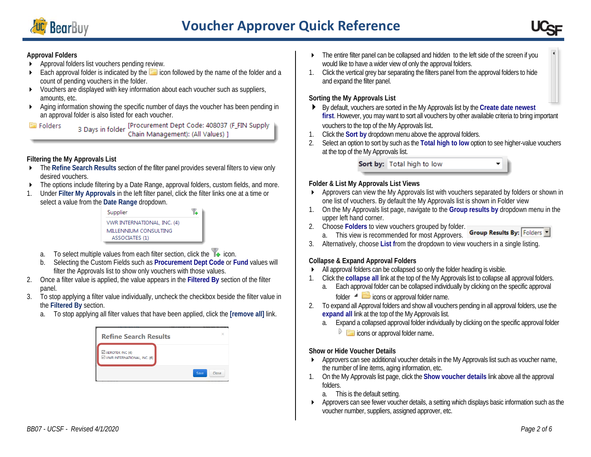



## **Approval Folders**

- **Approval folders list vouchers pending review.**
- Each approval folder is indicated by the  $\Box$  icon followed by the name of the folder and a count of pending vouchers in the folder.
- Vouchers are displayed with key information about each voucher such as suppliers, amounts, etc.
- Aging information showing the specific number of days the voucher has been pending in an approval folder is also listed for each voucher.

3 Days in folder [Procurement Dept Code: 408037 (F\_FIN Supply<br>Chain Management): (All Values) ] Folders

## **Filtering the My Approvals List**

- The **Refine Search Results** section of the filter panel provides several filters to view only desired vouchers.
- ▶ The options include filtering by a Date Range, approval folders, custom fields, and more.
- 1. Under **Filter My Approvals** in the left filter panel, click the filter links one at a time or select a value from the **Date Range** dropdown.

| Supplier                    |  |
|-----------------------------|--|
| VWR INTERNATIONAL, INC. (4) |  |
| MILLENNIUM CONSULTING       |  |
| ASSOCIATES (1)              |  |
|                             |  |

- a. To select multiple values from each filter section, click the  $\mathbb{T}_\bullet$  icon.
- b. Selecting the Custom Fields such as **Procurement Dept Code** or **Fund** values will filter the Approvals list to show only vouchers with those values.
- 2. Once a filter value is applied, the value appears in the **Filtered By** section of the filter panel.
- 3. To stop applying a filter value individually, uncheck the checkbox beside the filter value in the **Filtered By** section.
	- a. To stop applying all filter values that have been applied, click the **[remove all]** link.

| <b>Refine Search Results</b>                               |      |       |
|------------------------------------------------------------|------|-------|
| $\boxtimes$ AEROTEK INC (4)<br>VWR INTERNATIONAL, INC. (6) |      |       |
|                                                            | Save | Close |

- The entire filter panel can be collapsed and hidden to the left side of the screen if you would like to have a wider view of only the approval folders.
- 1. Click the vertical grey bar separating the filters panel from the approval folders to hide and expand the filter panel.

#### **Sorting the My Approvals List**

- By default, vouchers are sorted in the My Approvals list by the **Create date newest first**. However, you may want to sort all vouchers by other available criteria to bring important vouchers to the top of the My Approvals list.
- 1. Click the **Sort by** dropdown menu above the approval folders.
- 2. Select an option to sort by such as the **Total high to low** option to see higher-value vouchers at the top of the My Approvals list.

Sort by: Total high to low

#### **Folder & List My Approvals List Views**

- Approvers can view the My Approvals list with vouchers separated by folders or shown in one list of vouchers. By default the My Approvals list is shown in Folder view
- 1. On the My Approvals list page, navigate to the **Group results by** dropdown menu in the upper left hand corner.
- 2. Choose **Folders** to view vouchers grouped by folder.
- Group Results By: Folders a. This view is recommended for most Approvers.
- 3. Alternatively, choose **List f**rom the dropdown to view vouchers in a single listing.

#### **Collapse & Expand Approval Folders**

- All approval folders can be collapsed so only the folder heading is visible.
- 1. Click the **collapse all** link at the top of the My Approvals list to collapse all approval folders.
	- a. Each approval folder can be collapsed individually by clicking on the specific approval folder  $\triangleq$   $\Box$  icons or approval folder name.
- 2. To expand all Approval folders and show all vouchers pending in all approval folders, use the **expand all** link at the top of the My Approvals list.
	- a. Expand a collapsed approval folder individually by clicking on the specific approval folder
		- $\triangleright$   $\blacksquare$  icons or approval folder name.

#### **Show or Hide Voucher Details**

- Approvers can see additional voucher details in the My Approvals list such as voucher name, the number of line items, aging information, etc.
- 1. On the My Approvals list page, click the **Show voucher details** link above all the approval folders.
	- a. This is the default setting.
- **Approvers can see fewer voucher details, a setting which displays basic information such as the** voucher number, suppliers, assigned approver, etc.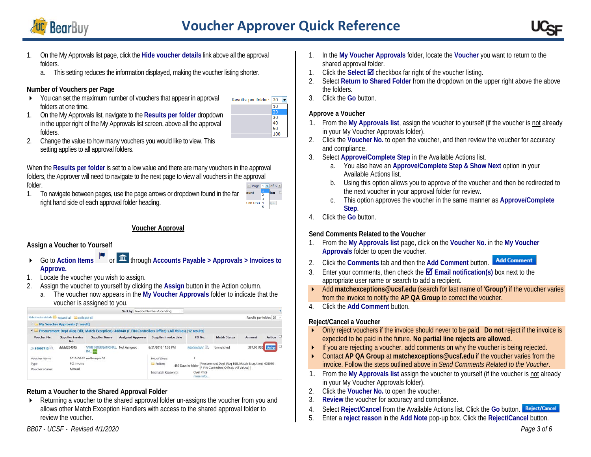

folders.



- 1. On the My Approvals list page, click the **Hide voucher details** link above all the approval folders.
	- a. This setting reduces the information displayed, making the voucher listing shorter.

#### **Number of Vouchers per Page**

 You can set the maximum number of vouchers that appear in approval folders at one time. 1. On the My Approvals list, navigate to the **Results per folder** dropdown

in the upper right of the My Approvals list screen, above all the approval



2. Change the value to how many vouchers you would like to view. This setting applies to all approval folders.

When the **Results per folder** is set to a low value and there are many vouchers in the approval folders, the Approver will need to navigate to the next page to view all vouchers in the approval folder. Page  $1$   $\bullet$  of 5  $\bullet$ 

1. To navigate between pages, use the page arrows or dropdown found in the far right hand side of each approval folder heading.



## **Voucher Approval**

## **Assign a Voucher to Yourself**

- **►** Go to Action Items **I a** or **new 1 a** through Accounts Payable > Approvals > Invoices to **Approve.**
- 1. Locate the voucher you wish to assign.
- 2. Assign the voucher to yourself by clicking the **Assign** button in the Action column.
	- a. The voucher now appears in the **My Voucher Approvals** folder to indicate that the voucher is assigned to you.

|                         |                                                  |                                     | Sort by: Invoice Number Ascending | $\sim$                                                                                                     |                         |                                                                                                     |                        |        |  |
|-------------------------|--------------------------------------------------|-------------------------------------|-----------------------------------|------------------------------------------------------------------------------------------------------------|-------------------------|-----------------------------------------------------------------------------------------------------|------------------------|--------|--|
|                         | Hide invoice details a expand all a collapse all |                                     |                                   |                                                                                                            |                         |                                                                                                     | Results per folder: 20 |        |  |
|                         | <b>My Voucher Approvals [1 result]</b>           |                                     |                                   |                                                                                                            |                         |                                                                                                     |                        |        |  |
| $\sim$                  |                                                  |                                     |                                   | Procurement Dept (Reg Edit, Match Exception): 408040 (F FIN Controllers Office): (All Values) [12 results] |                         |                                                                                                     |                        |        |  |
| Voucher No.             | <b>Supplier Invoice</b><br>No.                   | <b>Supplier Name</b>                | <b>Assigned Approver</b>          | Supplier Invoice date                                                                                      | PO No.                  | <b>Match Status</b>                                                                                 | Amount                 | Action |  |
| 59002712                | dsfdsf254545                                     | <b>VWR INTERNATIONAL</b><br>INC. AB | Not Assigned                      | 6/21/2018 11:58 PM                                                                                         | 800004088C              | Unmatched                                                                                           | 387.00 USD Assign      |        |  |
| Voucher Name            |                                                  | 2018-06-21 melissagee 02            |                                   | No. of Lines:                                                                                              |                         |                                                                                                     |                        |        |  |
| Type<br>Voucher Source: | PO Invoice<br>Manual                             |                                     |                                   | <b>Ell</b> Folders                                                                                         | 489 Days in folder      | [Procurement Dept (Reg Edit, Match Exception): 408040<br>(F FIN Controllers Office): (All Values) 1 |                        |        |  |
|                         |                                                  |                                     |                                   | Mismatch Reason(s):                                                                                        | Over Price<br>more info |                                                                                                     |                        |        |  |

#### **Return a Voucher to the Shared Approval Folder**

▶ Returning a voucher to the shared approval folder un-assigns the voucher from you and allows other Match Exception Handlers with access to the shared approval folder to review the voucher.

- 1. In the **My Voucher Approvals** folder, locate the **Voucher** you want to return to the shared approval folder.
- 1. Click the **Select Ø** checkbox far right of the voucher listing.
- 2. Select **Return to Shared Folder** from the dropdown on the upper right above the above the folders.
- 3. Click the **Go** button.

#### **Approve a Voucher**

- 1. From the **My Approvals list**, assign the voucher to yourself (if the voucher is not already in your My Voucher Approvals folder).
- 2. Click the **Voucher No.** to open the voucher, and then review the voucher for accuracy and compliance.
- 3. Select **Approve/Complete Step** in the Available Actions list.
	- a. You also have an **Approve/Complete Step & Show Next** option in your Available Actions list.
	- b. Using this option allows you to approve of the voucher and then be redirected to the next voucher in your approval folder for review.
	- c. This option approves the voucher in the same manner as **Approve/Complete Step**.
- 4. Click the **Go** button.

## **Send Comments Related to the Voucher**

- 1. From the **My Approvals list** page, click on the **Voucher No.** in the **My Voucher Approvals** folder to open the voucher.
- 2. Click the **Comments** tab and then the **Add Comment** button.
- 3. Enter your comments, then check the **Email notification(s)** box next to the appropriate user name or search to add a recipient.
- Add **[matchexceptions@ucsf.edu](mailto:matchexceptions@ucsf.edu)** (search for last name of '**Group'**) if the voucher varies from the invoice to notify the **AP QA Group** to correct the voucher.
- 4. Click the **Add Comment** button.

## **Reject/Cancel a Voucher**

- Only reject vouchers if the invoice should never to be paid. **Do not** reject if the invoice is expected to be paid in the future. **No partial line rejects are allowed.**
- If you are rejecting a voucher, add comments on why the voucher is being rejected.
- Contact **AP QA Group** at **[matchexceptions@ucsf.edu](mailto:matchexceptions@ucsf.edu)** if the voucher varies from the invoice. Follow the steps outlined above in *Send Comments Related to the Voucher*.
- 1. From the **My Approvals list** assign the voucher to yourself (if the voucher is not already in your My Voucher Approvals folder).
- 2. Click the **Voucher No.** to open the voucher.
- 3. **Review** the voucher for accuracy and compliance.
- 4. Select **Reject/Cancel** from the Available Actions list. Click the **Go** button.
- 5. Enter a **reject reason** in the **Add Note** pop-up box. Click the **Reject/Cancel** button.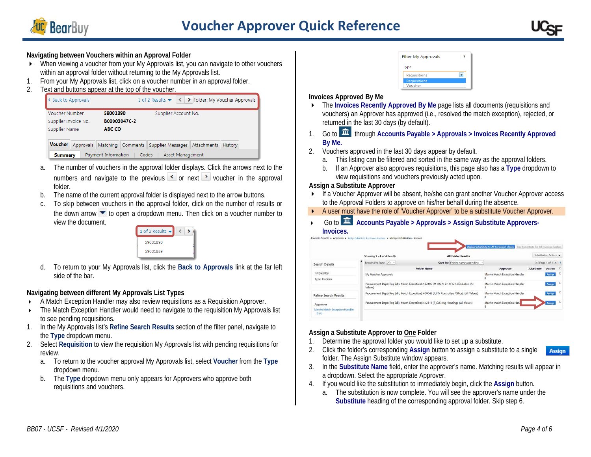

# **Voucher Approver Quick Reference**



#### **Navigating between Vouchers within an Approval Folder**

- When viewing a voucher from your My Approvals list, you can navigate to other vouchers within an approval folder without returning to the My Approvals list.
- 1. From your My Approvals list, click on a voucher number in an approval folder.
- 2. Text and buttons appear at the top of the voucher.

| B00003047C-2                                                      |
|-------------------------------------------------------------------|
|                                                                   |
| ABC CO                                                            |
| Approvals Matching Comments Supplier Messages Attachments History |
|                                                                   |

- a. The number of vouchers in the approval folder displays. Click the arrows next to the numbers and navigate to the previous  $\leq$  or next  $\geq$  voucher in the approval folder.
- b. The name of the current approval folder is displayed next to the arrow buttons.
- c. To skip between vouchers in the approval folder, click on the number of results or the down arrow  $\blacktriangledown$  to open a dropdown menu. Then click on a voucher number to view the document.



d. To return to your My Approvals list, click the **Back to Approvals** link at the far left side of the bar.

#### **Navigating between different My Approvals List Types**

- A Match Exception Handler may also review requisitions as a Requisition Approver.
- The Match Exception Handler would need to navigate to the requisition My Approvals list to see pending requisitions.
- 1. In the My Approvals list's **Refine Search Results** section of the filter panel, navigate to the **Type** dropdown menu.
- 2. Select **Requisition** to view the requisition My Approvals list with pending requisitions for review.
	- a. To return to the voucher approval My Approvals list, select **Voucher** from the **Type** dropdown menu.
	- b. The **Type** dropdown menu only appears for Approvers who approve both requisitions and vouchers.

| <b>Filter My Approvals</b> |  |  |
|----------------------------|--|--|
| Type                       |  |  |
| <b>Requisitions</b>        |  |  |
| <b>Requisitions</b>        |  |  |
| Voucher                    |  |  |

#### **Invoices Approved By Me**

- **The Invoices Recently Approved By Me page lists all documents (requisitions and** vouchers) an Approver has approved (i.e., resolved the match exception), rejected, or returned in the last 30 days (by default).
- 1. Go to  $\overline{11}$  through Accounts Payable > Approvals > Invoices Recently Approved **By Me.**
- 2. Vouchers approved in the last 30 days appear by default.
	- a. This listing can be filtered and sorted in the same way as the approval folders.
	- b. If an Approver also approves requisitions, this page also has a **Type** dropdown to view requisitions and vouchers previously acted upon.

#### **Assign a Substitute Approver**

- If a Voucher Approver will be absent, he/she can grant another Voucher Approver access to the Approval Folders to approve on his/her behalf during the absence.
- A user must have the role of 'Voucher Approver' to be a substitute Voucher Approver.
- Go to  $\overline{m}$  Accounts Payable > Approvals > Assign Substitute Approvers-**Invoices.**

|                                                    |                            |                                                                                               | Assign Substitute to All Invoices Folders | End Substitute for All Invoices Folders |                             |   |
|----------------------------------------------------|----------------------------|-----------------------------------------------------------------------------------------------|-------------------------------------------|-----------------------------------------|-----------------------------|---|
|                                                    | Showing 1 - 4 of 4 Results | <b>All Folder Results</b>                                                                     |                                           |                                         | Substitution Actions        |   |
| Search Details                                     | Results Per Page 20 -      | Sort by: Folder name ascending                                                                |                                           |                                         | $\leq$ Page 1 of 1 $\leq$ ? |   |
|                                                    |                            | <b>Folder Name</b>                                                                            | Approver                                  | Substitute                              | Action D                    |   |
| Filtered by<br>Type: Invoices                      | My Voucher Approvals       |                                                                                               | Marvin Match Exception Handler            |                                         | Assign                      | о |
|                                                    | Values)                    | Procurement Dept (Reg Edit, Match Exception): 122406 (M. DO-V Dn SFGH-Clin Labs): (All        | Marvin Match Exception Handler<br>я       |                                         | Assign                      | о |
| Refine Search Results                              |                            | Procurement Dept (Reg Edit, Match Exception): 408040 (F_FIN Controllers Office): (All Values) | Marvin Match Exception Handler            |                                         | Assign                      | ö |
| Approver<br>Marvin Match Exception Handler<br>3(4) |                            | Procurement Dept (Req Edit, Match Exception): 412310 (F_CLS Hsg Housing): (All Values)        | Marvin Match Exception Hand               |                                         | <b>Assign</b>               | O |

#### **Assign a Substitute Approver to One Folder**

- 1. Determine the approval folder you would like to set up a substitute.
- 2. Click the folder's corresponding **Assign** button to assign a substitute to a single **Assign** folder. The Assign Substitute window appears.
- 3. In the **Substitute Name** field, enter the approver's name. Matching results will appear in a dropdown. Select the appropriate Approver.
- 4. If you would like the substitution to immediately begin, click the **Assign** button.
	- a. The substitution is now complete. You will see the approver's name under the **Substitute** heading of the corresponding approval folder. Skip step 6.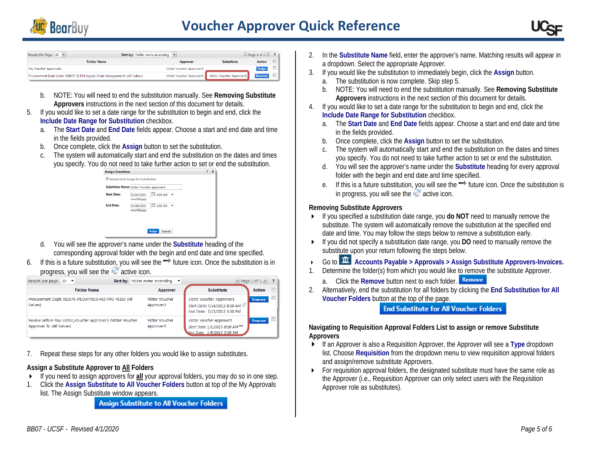



| Sort by: Folder name ascending  v <br>Results Per Page 20                   |                          |                          | Page 1 of $1 \times$ ? |        |
|-----------------------------------------------------------------------------|--------------------------|--------------------------|------------------------|--------|
| <b>Folder Name</b>                                                          | Approver                 | <b>Substitute</b>        | Action                 | $\Box$ |
| My Voucher Approvals                                                        | Victor Voucher Approver3 |                          | <b>Assign</b>          | $\Box$ |
| Procurement Dept Code: 408037 (F FIN Supply Chain Management): (All Values) | Victor Voucher Approver3 | Victor Voucher Approver1 | Remove                 |        |

- b. NOTE: You will need to end the substitution manually. See **Removing Substitute Approvers** instructions in the next section of this document for details.
- 5. If you would like to set a date range for the substitution to begin and end, click the **Include Date Range for Substitution** checkbox.
	- a. The **Start Date** and **End Date** fields appear. Choose a start and end date and time in the fields provided.
	- b. Once complete, click the **Assign** button to set the substitution.
	- c. The system will automatically start and end the substitution on the dates and times you specify. You do not need to take further action to set or end the substitution.



- d. You will see the approver's name under the **Substitute** heading of the corresponding approval folder with the begin and end date and time specified.
- 6. If this is a future substitution, you will see the  $\rightarrow$  future icon. Once the substitution is in progress, you will see the active icon.

| Results per page $20$ $\blacktriangleright$                                              | Sort by: Folder name ascending | $\check{}$                  |                                                                                                     | $\triangleq$ Page 1 of 1 $\triangleright$ ? |   |
|------------------------------------------------------------------------------------------|--------------------------------|-----------------------------|-----------------------------------------------------------------------------------------------------|---------------------------------------------|---|
| <b>Folder Name</b>                                                                       |                                | Approver                    | <b>Substitute</b>                                                                                   | Action                                      | E |
| Procurement Dept: 002678 (PEDIATRICS-MZ-PRO FEES): (All<br>Values)                       |                                | Victor Voucher<br>Approver3 | Victor Voucher Approver5<br>Start Date: 7/14/2013 8:00 AM<br>End Date: 7/15/2013 5:00 PM            | <b>Remove</b>                               | o |
| Review Before Pay: Victor_Voucher Approver3 (Victor Voucher<br>Approver 3): (All Values) |                                | Victor Voucher<br>Approver3 | Victor Voucher Approver5<br>Start Date: 1/1/2015 8:00 AM <sup>→</sup><br>End Date: 1/8/2015 5:00 PM | <b>Remove</b>                               |   |

7. Repeat these steps for any other folders you would like to assign substitutes.

#### **Assign a Substitute Approver to All Folders**

- If you need to assign approvers for **all** your approval folders, you may do so in one step.
- 1. Click the **Assign Substitute to All Voucher Folders** button at top of the My Approvals list. The Assign Substitute window appears.

**Assign Substitute to All Voucher Folders** 

- 2. In the **Substitute Name** field, enter the approver's name. Matching results will appear in a dropdown. Select the appropriate Approver.
- 3. If you would like the substitution to immediately begin, click the **Assign** button.
	- a. The substitution is now complete. Skip step 5.
	- b. NOTE: You will need to end the substitution manually. See **Removing Substitute Approvers** instructions in the next section of this document for details.
- 4. If you would like to set a date range for the substitution to begin and end, click the **Include Date Range for Substitution** checkbox.
	- a. The **Start Date** and **End Date** fields appear. Choose a start and end date and time in the fields provided.
	- b. Once complete, click the **Assign** button to set the substitution.
	- c. The system will automatically start and end the substitution on the dates and times you specify. You do not need to take further action to set or end the substitution.
	- d. You will see the approver's name under the **Substitute** heading for every approval folder with the begin and end date and time specified.
	- e. If this is a future substitution, you will see the  $\rightarrow$  future icon. Once the substitution is in progress, you will see the  $\sim$  active icon.

#### **Removing Substitute Approvers**

- If you specified a substitution date range, you **do NOT** need to manually remove the substitute. The system will automatically remove the substitution at the specified end date and time. You may follow the steps below to remove a substitution early.
- If you did not specify a substitution date range, you **DO** need to manually remove the substitute upon your return following the steps below.
- ▶ Go to **Accounts Payable > Approvals > Assign Substitute Approvers-Invoices.**
- Determine the folder(s) from which you would like to remove the substitute Approver.
	- a. Click the **Remove** button next to each folder.
- 2. Alternatively, end the substitution for all folders by clicking the **End Substitution for All Voucher Folders** button at the top of the page.

**End Substitute for All Voucher Folders** 

**Navigating to Requisition Approval Folders List to assign or remove Substitute Approvers**

- If an Approver is also a Requisition Approver, the Approver will see a **Type** dropdown list. Choose **Requisition** from the dropdown menu to view requisition approval folders and assign/remove substitute Approvers.
- For requisition approval folders, the designated substitute must have the same role as the Approver (i.e., Requisition Approver can only select users with the Requisition Approver role as substitutes).